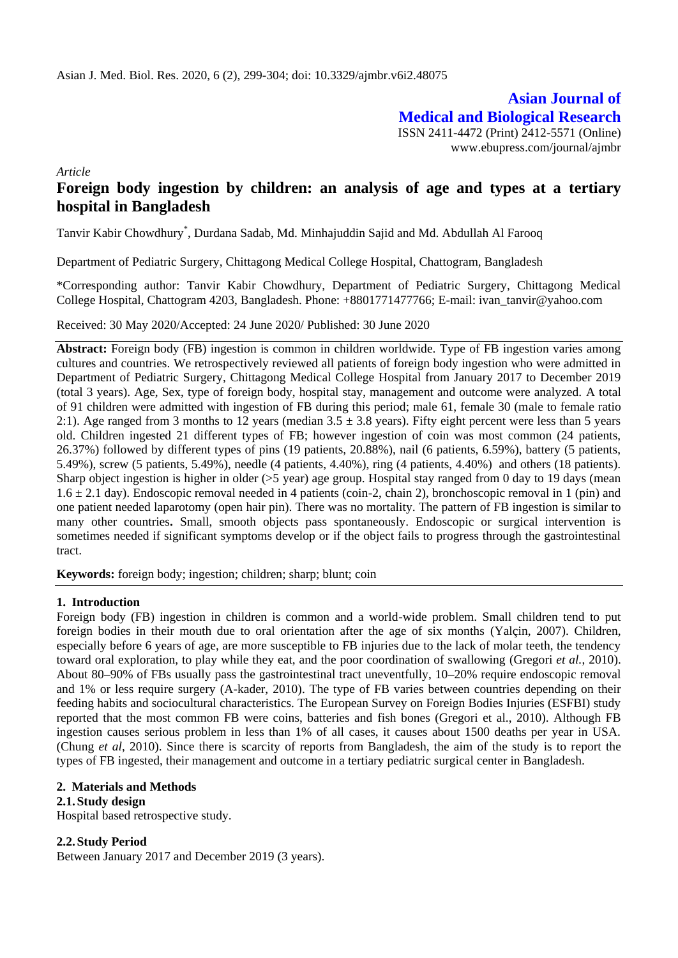**Asian Journal of Medical and Biological Research** ISSN 2411-4472 (Print) 2412-5571 (Online) www.ebupress.com/journal/ajmbr

*Article*

# **Foreign body ingestion by children: an analysis of age and types at a tertiary hospital in Bangladesh**

Tanvir Kabir Chowdhury\* , Durdana Sadab, Md. Minhajuddin Sajid and Md. Abdullah Al Farooq

Department of Pediatric Surgery, Chittagong Medical College Hospital, Chattogram, Bangladesh

\*Corresponding author: Tanvir Kabir Chowdhury, Department of Pediatric Surgery, Chittagong Medical College Hospital, Chattogram 4203, Bangladesh. Phone: +8801771477766; E-mail: ivan\_tanvir@yahoo.com

Received: 30 May 2020/Accepted: 24 June 2020/ Published: 30 June 2020

**Abstract:** Foreign body (FB) ingestion is common in children worldwide. Type of FB ingestion varies among cultures and countries. We retrospectively reviewed all patients of foreign body ingestion who were admitted in Department of Pediatric Surgery, Chittagong Medical College Hospital from January 2017 to December 2019 (total 3 years). Age, Sex, type of foreign body, hospital stay, management and outcome were analyzed. A total of 91 children were admitted with ingestion of FB during this period; male 61, female 30 (male to female ratio 2:1). Age ranged from 3 months to 12 years (median  $3.5 \pm 3.8$  years). Fifty eight percent were less than 5 years old. Children ingested 21 different types of FB; however ingestion of coin was most common (24 patients, 26.37%) followed by different types of pins (19 patients, 20.88%), nail (6 patients, 6.59%), battery (5 patients, 5.49%), screw (5 patients, 5.49%), needle (4 patients, 4.40%), ring (4 patients, 4.40%) and others (18 patients). Sharp object ingestion is higher in older (>5 year) age group. Hospital stay ranged from 0 day to 19 days (mean  $1.6 \pm 2.1$  day). Endoscopic removal needed in 4 patients (coin-2, chain 2), bronchoscopic removal in 1 (pin) and one patient needed laparotomy (open hair pin). There was no mortality. The pattern of FB ingestion is similar to many other countries**.** Small, smooth objects pass spontaneously. Endoscopic or surgical intervention is sometimes needed if significant symptoms develop or if the object fails to progress through the gastrointestinal tract.

**Keywords:** foreign body; ingestion; children; sharp; blunt; coin

## **1. Introduction**

Foreign body (FB) ingestion in children is common and a world-wide problem. Small children tend to put foreign bodies in their mouth due to oral orientation after the age of six months (Yalçin, 2007). Children, especially before 6 years of age, are more susceptible to FB injuries due to the lack of molar teeth, the tendency toward oral exploration, to play while they eat, and the poor coordination of swallowing (Gregori *et al.*, 2010). About 80–90% of FBs usually pass the gastrointestinal tract uneventfully, 10–20% require endoscopic removal and 1% or less require surgery (A-kader, 2010). The type of FB varies between countries depending on their feeding habits and sociocultural characteristics. The European Survey on Foreign Bodies Injuries (ESFBI) study reported that the most common FB were coins, batteries and fish bones (Gregori et al., 2010). Although FB ingestion causes serious problem in less than 1% of all cases, it causes about 1500 deaths per year in USA. (Chung *et al*, 2010). Since there is scarcity of reports from Bangladesh, the aim of the study is to report the types of FB ingested, their management and outcome in a tertiary pediatric surgical center in Bangladesh.

## **2. Materials and Methods**

## **2.1.Study design**

Hospital based retrospective study.

## **2.2.Study Period**

Between January 2017 and December 2019 (3 years).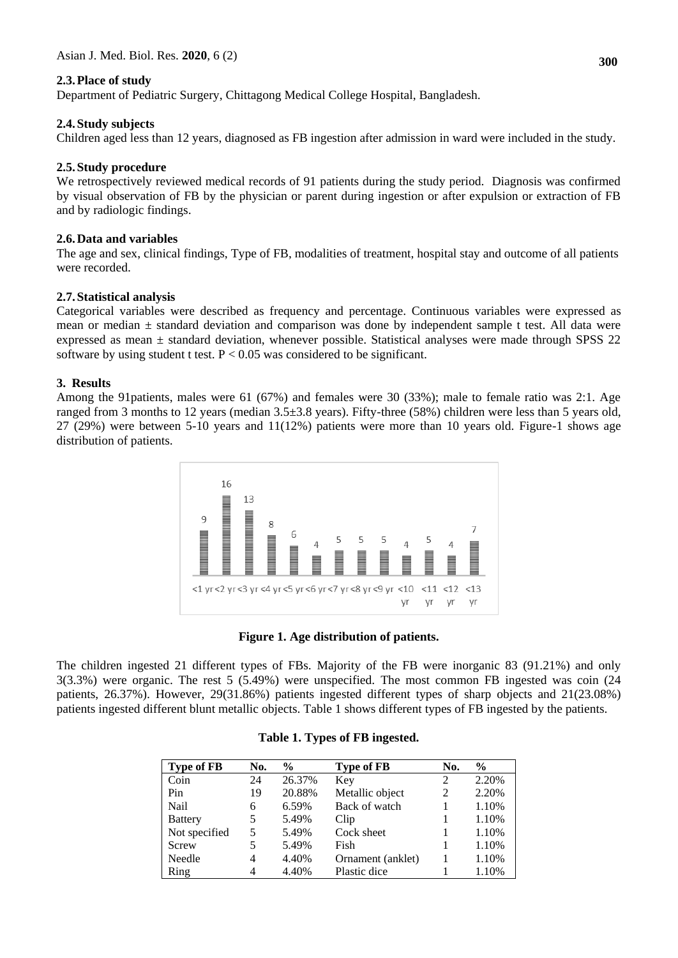# **2.3.Place of study**

Department of Pediatric Surgery, Chittagong Medical College Hospital, Bangladesh.

## **2.4.Study subjects**

Children aged less than 12 years, diagnosed as FB ingestion after admission in ward were included in the study.

## **2.5.Study procedure**

We retrospectively reviewed medical records of 91 patients during the study period. Diagnosis was confirmed by visual observation of FB by the physician or parent during ingestion or after expulsion or extraction of FB and by radiologic findings.

## **2.6.Data and variables**

The age and sex, clinical findings, Type of FB, modalities of treatment, hospital stay and outcome of all patients were recorded.

## **2.7.Statistical analysis**

Categorical variables were described as frequency and percentage. Continuous variables were expressed as mean or median  $\pm$  standard deviation and comparison was done by independent sample t test. All data were expressed as mean ± standard deviation, whenever possible. Statistical analyses were made through SPSS 22 software by using student t test.  $P < 0.05$  was considered to be significant.

## **3. Results**

Among the 91patients, males were 61 (67%) and females were 30 (33%); male to female ratio was 2:1. Age ranged from 3 months to 12 years (median 3.5±3.8 years). Fifty-three (58%) children were less than 5 years old, 27 (29%) were between 5-10 years and 11(12%) patients were more than 10 years old. Figure-1 shows age distribution of patients.



|  |  |  |  |  |  | Figure 1. Age distribution of patients. |
|--|--|--|--|--|--|-----------------------------------------|
|--|--|--|--|--|--|-----------------------------------------|

The children ingested 21 different types of FBs. Majority of the FB were inorganic 83 (91.21%) and only 3(3.3%) were organic. The rest 5 (5.49%) were unspecified. The most common FB ingested was coin (24 patients, 26.37%). However, 29(31.86%) patients ingested different types of sharp objects and 21(23.08%) patients ingested different blunt metallic objects. Table 1 shows different types of FB ingested by the patients.

| <b>Type of FB</b> | No. | %      | <b>Type of FB</b> | No. | $\frac{6}{9}$ |
|-------------------|-----|--------|-------------------|-----|---------------|
| Coin              | 24  | 26.37% | Key               | 2   | 2.20%         |
| Pin               | 19  | 20.88% | Metallic object   | 2   | 2.20%         |
| Nail              | 6   | 6.59%  | Back of watch     |     | 1.10%         |
| <b>Battery</b>    | 5   | 5.49%  | Clip              |     | 1.10%         |
| Not specified     | 5   | 5.49%  | Cock sheet        |     | 1.10%         |
| Screw             | 5   | 5.49%  | Fish              |     | 1.10%         |
| Needle            | 4   | 4.40%  | Ornament (anklet) |     | 1.10%         |
| Ring              |     | 4.40%  | Plastic dice      |     | 1.10%         |

## **Table 1. Types of FB ingested.**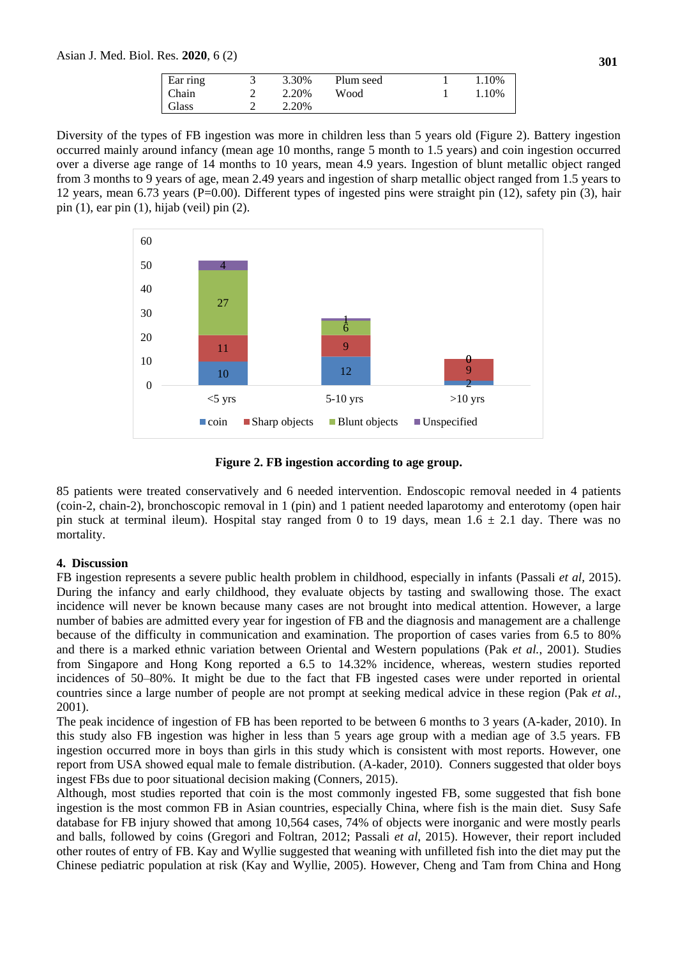Asian J. Med. Biol. Res. **2020**, 6 (2)

| Ear ring | 3.30% | Plum seed | 1.10% |
|----------|-------|-----------|-------|
| Chain    | 2.20% | Wood      | 1.10% |
| Glass    | 2.20% |           |       |

Diversity of the types of FB ingestion was more in children less than 5 years old (Figure 2). Battery ingestion occurred mainly around infancy (mean age 10 months, range 5 month to 1.5 years) and coin ingestion occurred over a diverse age range of 14 months to 10 years, mean 4.9 years. Ingestion of blunt metallic object ranged from 3 months to 9 years of age, mean 2.49 years and ingestion of sharp metallic object ranged from 1.5 years to 12 years, mean 6.73 years (P=0.00). Different types of ingested pins were straight pin (12), safety pin (3), hair pin (1), ear pin (1), hijab (veil) pin (2).



**Figure 2. FB ingestion according to age group.**

85 patients were treated conservatively and 6 needed intervention. Endoscopic removal needed in 4 patients (coin-2, chain-2), bronchoscopic removal in 1 (pin) and 1 patient needed laparotomy and enterotomy (open hair pin stuck at terminal ileum). Hospital stay ranged from 0 to 19 days, mean  $1.6 \pm 2.1$  day. There was no mortality.

## **4. Discussion**

FB ingestion represents a severe public health problem in childhood, especially in infants (Passali *et al,* 2015). During the infancy and early childhood, they evaluate objects by tasting and swallowing those. The exact incidence will never be known because many cases are not brought into medical attention. However, a large number of babies are admitted every year for ingestion of FB and the diagnosis and management are a challenge because of the difficulty in communication and examination. The proportion of cases varies from 6.5 to 80% and there is a marked ethnic variation between Oriental and Western populations (Pak *et al.*, 2001). Studies from Singapore and Hong Kong reported a 6.5 to 14.32% incidence, whereas, western studies reported incidences of 50–80%. It might be due to the fact that FB ingested cases were under reported in oriental countries since a large number of people are not prompt at seeking medical advice in these region (Pak *et al.*, 2001).

The peak incidence of ingestion of FB has been reported to be between 6 months to 3 years (A-kader, 2010). In this study also FB ingestion was higher in less than 5 years age group with a median age of 3.5 years. FB ingestion occurred more in boys than girls in this study which is consistent with most reports. However, one report from USA showed equal male to female distribution. (A-kader, 2010). Conners suggested that older boys ingest FBs due to poor situational decision making (Conners, 2015).

Although, most studies reported that coin is the most commonly ingested FB, some suggested that fish bone ingestion is the most common FB in Asian countries, especially China, where fish is the main diet. Susy Safe database for FB injury showed that among 10,564 cases, 74% of objects were inorganic and were mostly pearls and balls, followed by coins (Gregori and Foltran, 2012; Passali *et al*, 2015). However, their report included other routes of entry of FB. Kay and Wyllie suggested that weaning with unfilleted fish into the diet may put the Chinese pediatric population at risk (Kay and Wyllie, 2005). However, Cheng and Tam from China and Hong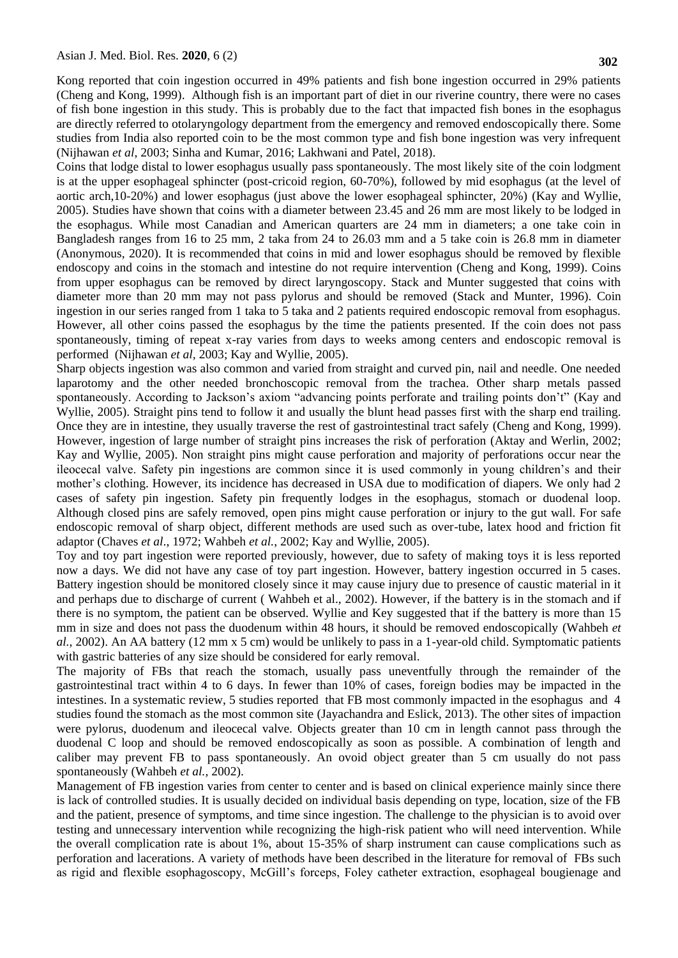Kong reported that coin ingestion occurred in 49% patients and fish bone ingestion occurred in 29% patients (Cheng and Kong, 1999). Although fish is an important part of diet in our riverine country, there were no cases of fish bone ingestion in this study. This is probably due to the fact that impacted fish bones in the esophagus are directly referred to otolaryngology department from the emergency and removed endoscopically there. Some studies from India also reported coin to be the most common type and fish bone ingestion was very infrequent (Nijhawan *et al*, 2003; Sinha and Kumar, 2016; Lakhwani and Patel, 2018).

Coins that lodge distal to lower esophagus usually pass spontaneously. The most likely site of the coin lodgment is at the upper esophageal sphincter (post-cricoid region, 60-70%), followed by mid esophagus (at the level of aortic arch,10-20%) and lower esophagus (just above the lower esophageal sphincter, 20%) (Kay and Wyllie, 2005). Studies have shown that coins with a diameter between 23.45 and 26 mm are most likely to be lodged in the esophagus. While most Canadian and American quarters are 24 mm in diameters; a one take coin in Bangladesh ranges from 16 to 25 mm, 2 taka from 24 to 26.03 mm and a 5 take coin is 26.8 mm in diameter (Anonymous, 2020). It is recommended that coins in mid and lower esophagus should be removed by flexible endoscopy and coins in the stomach and intestine do not require intervention (Cheng and Kong, 1999). Coins from upper esophagus can be removed by direct laryngoscopy. Stack and Munter suggested that coins with diameter more than 20 mm may not pass pylorus and should be removed (Stack and Munter, 1996). Coin ingestion in our series ranged from 1 taka to 5 taka and 2 patients required endoscopic removal from esophagus. However, all other coins passed the esophagus by the time the patients presented. If the coin does not pass spontaneously, timing of repeat x-ray varies from days to weeks among centers and endoscopic removal is performed (Nijhawan *et al,* 2003; Kay and Wyllie, 2005).

Sharp objects ingestion was also common and varied from straight and curved pin, nail and needle. One needed laparotomy and the other needed bronchoscopic removal from the trachea. Other sharp metals passed spontaneously. According to Jackson's axiom "advancing points perforate and trailing points don't" (Kay and Wyllie, 2005). Straight pins tend to follow it and usually the blunt head passes first with the sharp end trailing. Once they are in intestine, they usually traverse the rest of gastrointestinal tract safely (Cheng and Kong, 1999). However, ingestion of large number of straight pins increases the risk of perforation (Aktay and Werlin, 2002; Kay and Wyllie, 2005). Non straight pins might cause perforation and majority of perforations occur near the ileocecal valve. Safety pin ingestions are common since it is used commonly in young children's and their mother's clothing. However, its incidence has decreased in USA due to modification of diapers. We only had 2 cases of safety pin ingestion. Safety pin frequently lodges in the esophagus, stomach or duodenal loop. Although closed pins are safely removed, open pins might cause perforation or injury to the gut wall. For safe endoscopic removal of sharp object, different methods are used such as over-tube, latex hood and friction fit adaptor (Chaves *et al*., 1972; Wahbeh *et al.*, 2002; Kay and Wyllie, 2005).

Toy and toy part ingestion were reported previously, however, due to safety of making toys it is less reported now a days. We did not have any case of toy part ingestion. However, battery ingestion occurred in 5 cases. Battery ingestion should be monitored closely since it may cause injury due to presence of caustic material in it and perhaps due to discharge of current ( Wahbeh et al., 2002). However, if the battery is in the stomach and if there is no symptom, the patient can be observed. Wyllie and Key suggested that if the battery is more than 15 mm in size and does not pass the duodenum within 48 hours, it should be removed endoscopically (Wahbeh *et al.*, 2002). An AA battery (12 mm x 5 cm) would be unlikely to pass in a 1-year-old child. Symptomatic patients with gastric batteries of any size should be considered for early removal.

The majority of FBs that reach the stomach, usually pass uneventfully through the remainder of the gastrointestinal tract within 4 to 6 days. In fewer than 10% of cases, foreign bodies may be impacted in the intestines. In a systematic review, 5 studies reported that FB most commonly impacted in the esophagus and 4 studies found the stomach as the most common site (Jayachandra and Eslick, 2013). The other sites of impaction were pylorus, duodenum and ileocecal valve. Objects greater than 10 cm in length cannot pass through the duodenal C loop and should be removed endoscopically as soon as possible. A combination of length and caliber may prevent FB to pass spontaneously. An ovoid object greater than 5 cm usually do not pass spontaneously (Wahbeh *et al.,* 2002).

Management of FB ingestion varies from center to center and is based on clinical experience mainly since there is lack of controlled studies. It is usually decided on individual basis depending on type, location, size of the FB and the patient, presence of symptoms, and time since ingestion. The challenge to the physician is to avoid over testing and unnecessary intervention while recognizing the high-risk patient who will need intervention. While the overall complication rate is about 1%, about 15-35% of sharp instrument can cause complications such as perforation and lacerations. A variety of methods have been described in the literature for removal of FBs such as rigid and flexible esophagoscopy, McGill's forceps, Foley catheter extraction, esophageal bougienage and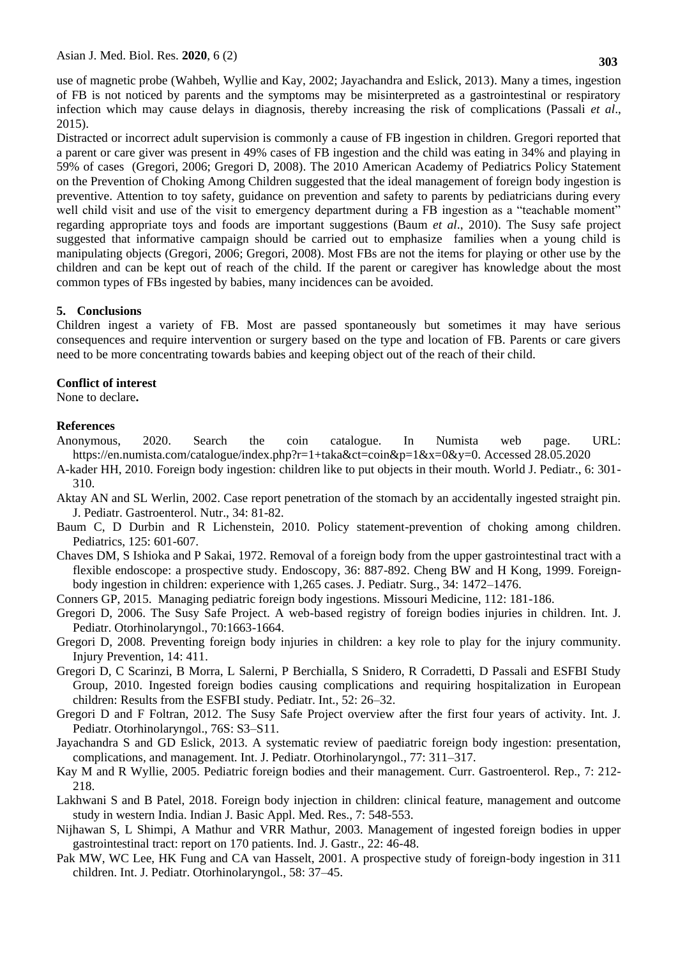use of magnetic probe (Wahbeh, Wyllie and Kay, 2002; Jayachandra and Eslick, 2013). Many a times, ingestion of FB is not noticed by parents and the symptoms may be misinterpreted as a gastrointestinal or respiratory infection which may cause delays in diagnosis, thereby increasing the risk of complications (Passali *et al*., 2015).

Distracted or incorrect adult supervision is commonly a cause of FB ingestion in children. Gregori reported that a parent or care giver was present in 49% cases of FB ingestion and the child was eating in 34% and playing in 59% of cases (Gregori, 2006; Gregori D, 2008). The 2010 American Academy of Pediatrics Policy Statement on the Prevention of Choking Among Children suggested that the ideal management of foreign body ingestion is preventive. Attention to toy safety, guidance on prevention and safety to parents by pediatricians during every well child visit and use of the visit to emergency department during a FB ingestion as a "teachable moment" regarding appropriate toys and foods are important suggestions (Baum *et al*., 2010). The Susy safe project suggested that informative campaign should be carried out to emphasize families when a young child is manipulating objects (Gregori, 2006; Gregori, 2008). Most FBs are not the items for playing or other use by the children and can be kept out of reach of the child. If the parent or caregiver has knowledge about the most common types of FBs ingested by babies, many incidences can be avoided.

## **5. Conclusions**

Children ingest a variety of FB. Most are passed spontaneously but sometimes it may have serious consequences and require intervention or surgery based on the type and location of FB. Parents or care givers need to be more concentrating towards babies and keeping object out of the reach of their child.

#### **Conflict of interest**

None to declare**.** 

#### **References**

- Anonymous, 2020. Search the coin catalogue. In Numista web page. URL: https://en.numista.com/catalogue/index.php?r=1+taka&ct=coin&p=1&x=0&y=0. Accessed 28.05.2020
- A-kader HH, 2010. Foreign body ingestion: children like to put objects in their mouth. World J. Pediatr., 6: 301- 310.
- Aktay AN and SL Werlin, 2002. Case report penetration of the stomach by an accidentally ingested straight pin. J. Pediatr. Gastroenterol. Nutr., 34: 81-82.
- Baum C, D Durbin and R Lichenstein, 2010. Policy statement-prevention of choking among children. Pediatrics, 125: 601-607.
- Chaves DM, S Ishioka and P Sakai, 1972. Removal of a foreign body from the upper gastrointestinal tract with a flexible endoscope: a prospective study. Endoscopy, 36: 887-892. Cheng BW and H Kong, 1999. Foreignbody ingestion in children: experience with 1,265 cases. J. Pediatr. Surg., 34: 1472–1476.
- Conners GP, 2015. Managing pediatric foreign body ingestions. Missouri Medicine, 112: 181-186.
- Gregori D, 2006. The Susy Safe Project. A web-based registry of foreign bodies injuries in children. Int. J. Pediatr. Otorhinolaryngol., 70:1663-1664.
- Gregori D, 2008. Preventing foreign body injuries in children: a key role to play for the injury community. Injury Prevention, 14: 411.
- Gregori D, C Scarinzi, B Morra, L Salerni, P Berchialla, S Snidero, R Corradetti, D Passali and ESFBI Study Group, 2010. Ingested foreign bodies causing complications and requiring hospitalization in European children: Results from the ESFBI study. Pediatr. Int., 52: 26–32.
- Gregori D and F Foltran, 2012. The Susy Safe Project overview after the first four years of activity. Int. J. Pediatr. Otorhinolaryngol., 76S: S3–S11.
- Jayachandra S and GD Eslick, 2013. A systematic review of paediatric foreign body ingestion: presentation, complications, and management. Int. J. Pediatr. Otorhinolaryngol., 77: 311–317.
- Kay M and R Wyllie, 2005. Pediatric foreign bodies and their management. Curr. Gastroenterol. Rep., 7: 212- 218.
- Lakhwani S and B Patel, 2018. Foreign body injection in children: clinical feature, management and outcome study in western India. Indian J. Basic Appl. Med. Res., 7: 548-553.
- Nijhawan S, L Shimpi, A Mathur and VRR Mathur, 2003. Management of ingested foreign bodies in upper gastrointestinal tract: report on 170 patients. Ind. J. Gastr., 22: 46-48.
- Pak MW, WC Lee, HK Fung and CA van Hasselt, 2001. A prospective study of foreign-body ingestion in 311 children. Int. J. Pediatr. Otorhinolaryngol., 58: 37–45.